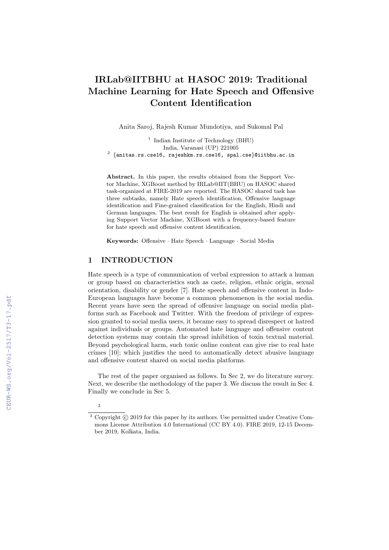# IRLab@IITBHU at HASOC 2019: Traditional Machine Learning for Hate Speech and Offensive Content Identification

Anita Saroj, Rajesh Kumar Mundotiya, and Sukomal Pal

<sup>1</sup> Indian Institute of Technology (BHU) India, Varanasi (UP) 221005  $^2$   $\{$ anitas.rs.cse16, rajeshkm.rs.cse16, spal.cse $\}$ @iitbhu.ac.in

Abstract. In this paper, the results obtained from the Support Vector Machine, XGBoost method by IRLab@IIT(BHU) on HASOC shared task-organized at FIRE-2019 are reported. The HASOC shared task has three subtasks, namely Hate speech identification, Offensive language identification and Fine-grained classification for the English, Hindi and German languages. The best result for English is obtained after applying Support Vector Machine, XGBoost with a frequency-based feature for hate speech and offensive content identification.

Keywords: Offensive · Hate Speech · Language · Social Media

# 1 INTRODUCTION

Hate speech is a type of communication of verbal expression to attack a human or group based on characteristics such as caste, religion, ethnic origin, sexual orientation, disability or gender [7]. Hate speech and offensive content in Indo-European languages have become a common phenomenon in the social media. Recent years have seen the spread of offensive language on social media platforms such as Facebook and Twitter. With the freedom of privilege of expression granted to social media users, it became easy to spread disrespect or hatred against individuals or groups. Automated hate language and offensive content detection systems may contain the spread inhibition of toxin textual material. Beyond psychological harm, such toxic online content can give rise to real hate crimes [10]; which justifies the need to automatically detect abusive language and offensive content shared on social media platforms.

The rest of the paper organised as follows. In Sec 2, we do literature survey. Next, we describe the methodology of the paper 3. We discuss the result in Sec 4. Finally we conclude in Sec 5.

<sup>3</sup>

 $3$  Copyright  $\odot$  2019 for this paper by its authors. Use permitted under Creative Commons License Attribution 4.0 International (CC BY 4.0). FIRE 2019, 12-15 December 2019, Kolkata, India.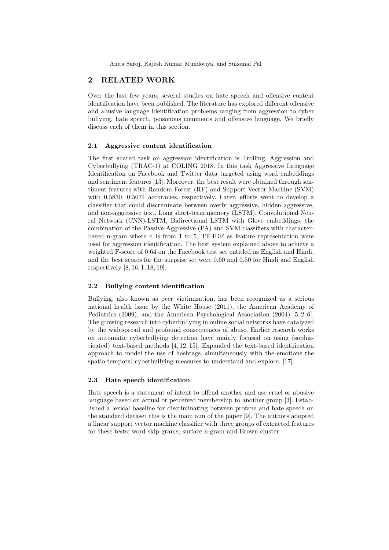Anita Saroj, Rajesh Kumar Mundotiya, and Sukomal Pal

# 2 RELATED WORK

Over the last few years, several studies on hate speech and offensive content identification have been published. The literature has explored different offensive and abusive language identification problems ranging from aggression to cyber bullying, hate speech, poisonous comments and offensive language. We briefly discuss each of them in this section.

#### 2.1 Aggressive content identification

The first shared task on aggression identification is Trolling, Aggression and Cyberbullying (TRAC-1) at COLING 2018. In this task Aggressive Language Identification on Facebook and Twitter data targeted using word embeddings and sentiment features [13]. Moreover, the best result were obtained through sentiment features with Random Forest (RF) and Support Vector Machine (SVM) with 0.5830, 0.5074 accuracies, respectively. Later, efforts went to develop a classifier that could discriminate between overly aggressive, hidden aggressive, and non-aggressive text. Long short-term memory (LSTM), Convolutional Neural Network (CNN)-LSTM, Bidirectional LSTM with Glove embeddings, the combination of the Passive-Aggressive (PA) and SVM classifiers with characterbased n-gram where n is from 1 to 5, TF-IDF as feature representation were used for aggression identification. The best system explained above to achieve a weighted F-score of 0.64 on the Facebook test set entitled as English and Hindi, and the best scores for the surprise set were 0.60 and 0.50 for Hindi and English respectively [8, 16, 1, 18, 19].

#### 2.2 Bullying content identification

Bullying, also known as peer victimization, has been recognized as a serious national health issue by the White House (2011), the American Academy of Pediatrics (2009), and the American Psychological Association (2004) [5, 2, 6]. The growing research into cyberbullying in online social networks have catalyzed by the widespread and profound consequences of abuse. Earlier research works on automatic cyberbullying detection have mainly focused on using (sophisticated) text-based methods [4, 12, 15]. Expanded the text-based identification approach to model the use of hashtags, simultaneously with the emotions the spatio-temporal cyberbullying measures to understand and explore. [17].

#### 2.3 Hate speech identification

Hate speech is a statement of intent to offend another and use cruel or abusive language based on actual or perceived membership to another group [3]. Established a lexical baseline for discriminating between profane and hate speech on the standard dataset this is the main aim of the paper [9]. The authors adopted a linear support vector machine classifier with three groups of extracted features for these tests: word skip-grams, surface n-gram and Brown cluster.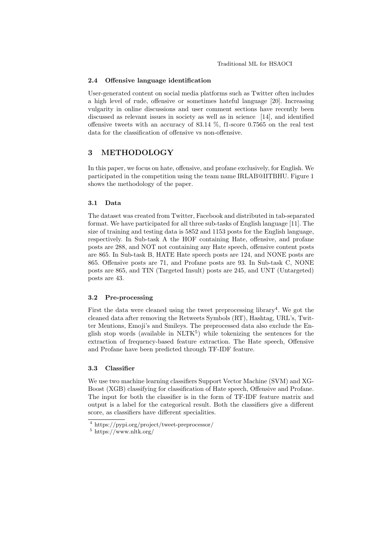#### 2.4 Offensive language identification

User-generated content on social media platforms such as Twitter often includes a high level of rude, offensive or sometimes hateful language [20]. Increasing vulgarity in online discussions and user comment sections have recently been discussed as relevant issues in society as well as in science [14], and identified offensive tweets with an accuracy of 83.14 %, f1-score 0.7565 on the real test data for the classification of offensive vs non-offensive.

# 3 METHODOLOGY

In this paper, we focus on hate, offensive, and profane exclusively, for English. We participated in the competition using the team name IRLAB@IITBHU. Figure 1 shows the methodology of the paper.

#### 3.1 Data

The dataset was created from Twitter, Facebook and distributed in tab-separated format. We have participated for all three sub-tasks of English language [11]. The size of training and testing data is 5852 and 1153 posts for the English language, respectively. In Sub-task A the HOF containing Hate, offensive, and profane posts are 288, and NOT not containing any Hate speech, offensive content posts are 865. In Sub-task B, HATE Hate speech posts are 124, and NONE posts are 865. Offensive posts are 71, and Profane posts are 93. In Sub-task C, NONE posts are 865, and TIN (Targeted Insult) posts are 245, and UNT (Untargeted) posts are 43.

#### 3.2 Pre-processing

First the data were cleaned using the tweet preprocessing library<sup>4</sup>. We got the cleaned data after removing the Retweets Symbols (RT), Hashtag, URL's, Twitter Mentions, Emoji's and Smileys. The preprocessed data also exclude the English stop words (available in  $\text{NLTK}^5$ ) while tokenizing the sentences for the extraction of frequency-based feature extraction. The Hate speech, Offensive and Profane have been predicted through TF-IDF feature.

## 3.3 Classifier

We use two machine learning classifiers Support Vector Machine (SVM) and XG-Boost (XGB) classifying for classification of Hate speech, Offensive and Profane. The input for both the classifier is in the form of TF-IDF feature matrix and output is a label for the categorical result. Both the classifiers give a different score, as classifiers have different specialities.

<sup>4</sup> https://pypi.org/project/tweet-preprocessor/

 $^5$ https://www.nltk.org/  $\,$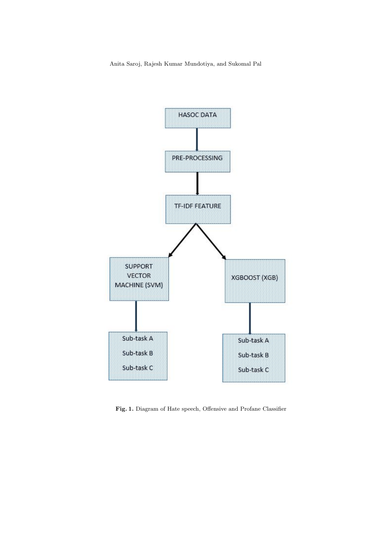

Fig. 1. Diagram of Hate speech, Offensive and Profane Classifier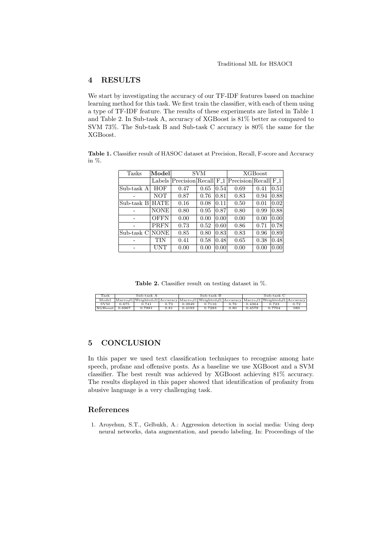# 4 RESULTS

We start by investigating the accuracy of our TF-IDF features based on machine learning method for this task. We first train the classifier, with each of them using a type of TF-IDF feature. The results of these experiments are listed in Table 1 and Table 2. In Sub-task A, accuracy of XGBoost is 81% better as compared to SVM 73%. The Sub-task B and Sub-task C accuracy is 80% the same for the XGBoost.

Table 1. Classifier result of HASOC dataset at Precision, Recall, F-score and Accuracy in %.

| Tasks       | Model       | <b>SVM</b> |      |      | <b>XGBoost</b>                                                    |      |      |
|-------------|-------------|------------|------|------|-------------------------------------------------------------------|------|------|
|             | Labels      |            |      |      | Precision Recall F <sub>-1</sub> Precision Recall F <sub>-1</sub> |      |      |
| Sub-task A  | HOF         | 0.47       | 0.65 | 0.54 | 0.69                                                              | 0.41 | 0.51 |
|             | <b>NOT</b>  | 0.87       | 0.76 | 0.81 | 0.83                                                              | 0.94 | 0.88 |
| Sub-task B  | HATE        | 0.16       | 0.08 | 0.11 | 0.50                                                              | 0.01 | 0.02 |
|             | <b>NONE</b> | 0.80       | 0.95 | 0.87 | 0.80                                                              | 0.99 | 0.88 |
|             | <b>OFFN</b> | 0.00       | 0.00 | 0.00 | 0.00                                                              | 0.00 | 0.00 |
|             | PRFN        | 0.73       | 0.52 | 0.60 | 0.86                                                              | 0.71 | 0.78 |
| Sub-task Cl | <b>NONE</b> | 0.85       | 0.80 | 0.83 | 0.83                                                              | 0.96 | 0.89 |
|             | TIN         | 0.41       | 0.58 | 0.48 | 0.65                                                              | 0.38 | 0.48 |
|             | UNT         | 0.00       | 0.00 | 0.00 | 0.00                                                              | 0.00 | 0.00 |

Table 2. Classifier result on testing dataset in %.

| Task       | Sub-task A |                                                                                           |      | Sub-task B |        |      | Sub-task C |        |      |
|------------|------------|-------------------------------------------------------------------------------------------|------|------------|--------|------|------------|--------|------|
| Model      |            | Macro_f1 Weighted_f1 Accuracy Macro_f1 Weighted_f1 Accuracy Macro_f1 Weighted_f1 Accuracy |      |            |        |      |            |        |      |
| <b>SVM</b> | 0.675      | 0.741                                                                                     | 0.73 | 0.3949     | 0.7116 | 0.76 | 0.4364     | 0.723  | 0.72 |
| XGBoost    | 0.6967     | 0.7881                                                                                    | 0.81 | 0.4193     | 0.7283 | 0.80 | 0.4578     | 0.7704 | 080  |

# 5 CONCLUSION

In this paper we used text classification techniques to recognise among hate speech, profane and offensive posts. As a baseline we use XGBoost and a SVM classifier. The best result was achieved by XGBoost achieving 81% accuracy. The results displayed in this paper showed that identification of profanity from abusive language is a very challenging task.

## References

1. Aroyehun, S.T., Gelbukh, A.: Aggression detection in social media: Using deep neural networks, data augmentation, and pseudo labeling. In: Proceedings of the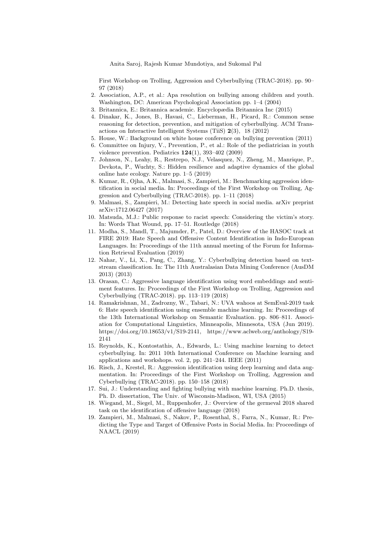Anita Saroj, Rajesh Kumar Mundotiya, and Sukomal Pal

First Workshop on Trolling, Aggression and Cyberbullying (TRAC-2018). pp. 90– 97 (2018)

- 2. Association, A.P., et al.: Apa resolution on bullying among children and youth. Washington, DC: American Psychological Association pp. 1–4 (2004)
- 3. Britannica, E.: Britannica academic. Encyclopædia Britannica Inc (2015)
- 4. Dinakar, K., Jones, B., Havasi, C., Lieberman, H., Picard, R.: Common sense reasoning for detection, prevention, and mitigation of cyberbullying. ACM Transactions on Interactive Intelligent Systems (TiiS) 2(3), 18 (2012)
- 5. House, W.: Background on white house conference on bullying prevention (2011)
- 6. Committee on Injury, V., Prevention, P., et al.: Role of the pediatrician in youth violence prevention. Pediatrics 124(1), 393–402 (2009)
- 7. Johnson, N., Leahy, R., Restrepo, N.J., Velasquez, N., Zheng, M., Manrique, P., Devkota, P., Wuchty, S.: Hidden resilience and adaptive dynamics of the global online hate ecology. Nature pp. 1–5 (2019)
- 8. Kumar, R., Ojha, A.K., Malmasi, S., Zampieri, M.: Benchmarking aggression identification in social media. In: Proceedings of the First Workshop on Trolling, Aggression and Cyberbullying (TRAC-2018). pp. 1–11 (2018)
- 9. Malmasi, S., Zampieri, M.: Detecting hate speech in social media. arXiv preprint arXiv:1712.06427 (2017)
- 10. Matsuda, M.J.: Public response to racist speech: Considering the victim's story. In: Words That Wound, pp. 17–51. Routledge (2018)
- 11. Modha, S., Mandl, T., Majumder, P., Patel, D.: Overview of the HASOC track at FIRE 2019: Hate Speech and Offensive Content Identification in Indo-European Languages. In: Proceedings of the 11th annual meeting of the Forum for Information Retrieval Evaluation (2019)
- 12. Nahar, V., Li, X., Pang, C., Zhang, Y.: Cyberbullying detection based on textstream classification. In: The 11th Australasian Data Mining Conference (AusDM 2013) (2013)
- 13. Orasan, C.: Aggressive language identification using word embeddings and sentiment features. In: Proceedings of the First Workshop on Trolling, Aggression and Cyberbullying (TRAC-2018). pp. 113–119 (2018)
- 14. Ramakrishnan, M., Zadrozny, W., Tabari, N.: UVA wahoos at SemEval-2019 task 6: Hate speech identification using ensemble machine learning. In: Proceedings of the 13th International Workshop on Semantic Evaluation. pp. 806–811. Association for Computational Linguistics, Minneapolis, Minnesota, USA (Jun 2019). https://doi.org/10.18653/v1/S19-2141, https://www.aclweb.org/anthology/S19- 2141
- 15. Reynolds, K., Kontostathis, A., Edwards, L.: Using machine learning to detect cyberbullying. In: 2011 10th International Conference on Machine learning and applications and workshops. vol. 2, pp. 241–244. IEEE (2011)
- 16. Risch, J., Krestel, R.: Aggression identification using deep learning and data augmentation. In: Proceedings of the First Workshop on Trolling, Aggression and Cyberbullying (TRAC-2018). pp. 150–158 (2018)
- 17. Sui, J.: Understanding and fighting bullying with machine learning. Ph.D. thesis, Ph. D. dissertation, The Univ. of Wisconsin-Madison, WI, USA (2015)
- 18. Wiegand, M., Siegel, M., Ruppenhofer, J.: Overview of the germeval 2018 shared task on the identification of offensive language (2018)
- 19. Zampieri, M., Malmasi, S., Nakov, P., Rosenthal, S., Farra, N., Kumar, R.: Predicting the Type and Target of Offensive Posts in Social Media. In: Proceedings of NAACL (2019)